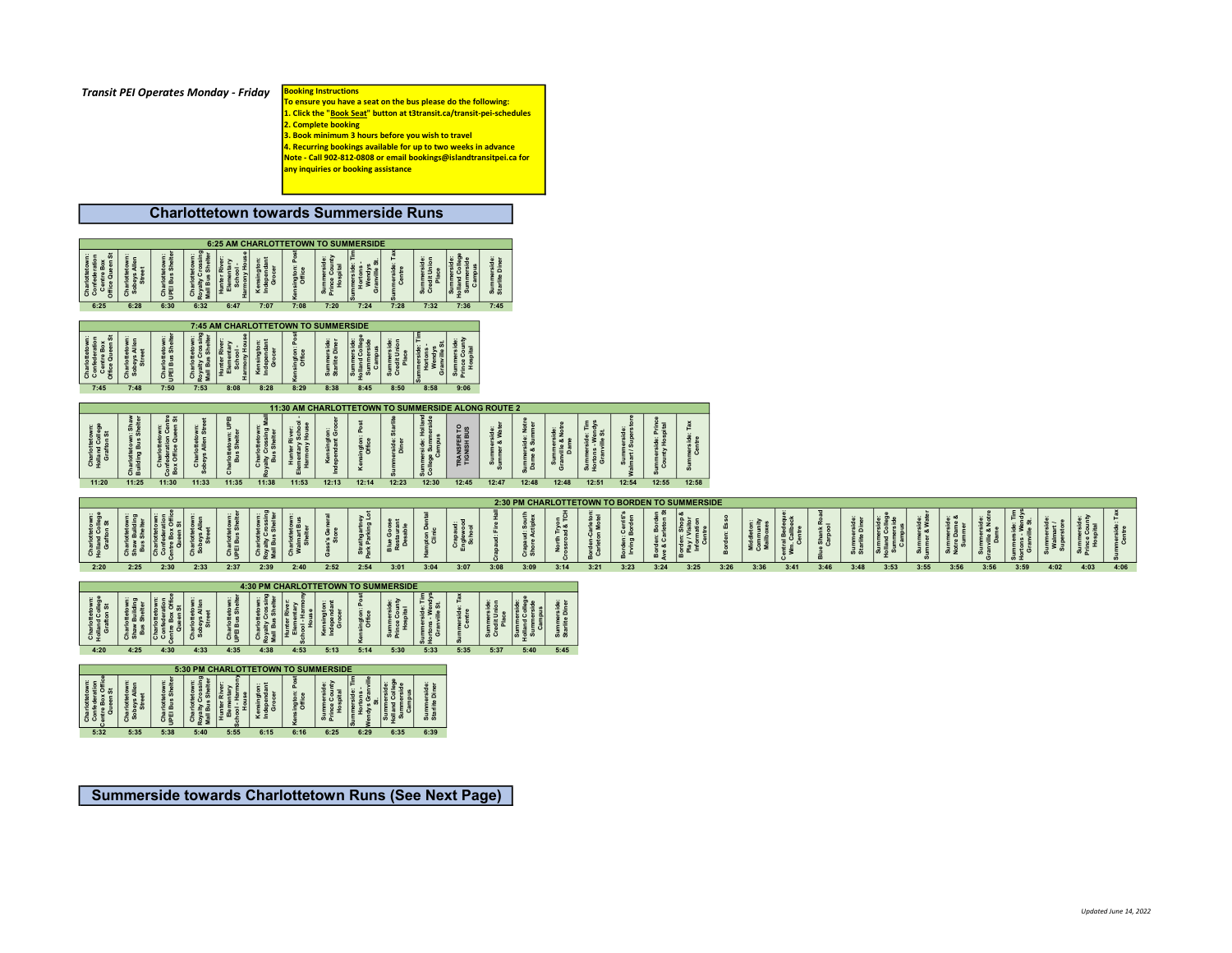| <b>Transit PEI Operates Monday - Friday Booking Instructions</b> |  |
|------------------------------------------------------------------|--|
|                                                                  |  |

To ensure you have a seat on the bus please do the following: 1. Click the "Book Seat" button at t3transit.ca/transit-pei-schedules 2. Complete booking

3. Book minimum 3 hours before you wish to travel

4. Recurring bookings available for up to two weeks in advance

Note - Call 902-812-0808 or email bookings@islandtransitpei.ca for any inquiries or booking assistance

## Charlottetown towards Summerside Runs

|                                                                          |                                                  |                                                  |                                                    | 6:25 AM CHARLOTTETOWN TO SUMMERSIDE                          |                                                |                                                              |                                    |                                  |                                              |                                            |                                    |                                                    |                                 |                                          |                                                     |                                  |                                 |                                               |      |                             |      |      |                    |      |                       |                                      |                                       |      |      |      |                    |
|--------------------------------------------------------------------------|--------------------------------------------------|--------------------------------------------------|----------------------------------------------------|--------------------------------------------------------------|------------------------------------------------|--------------------------------------------------------------|------------------------------------|----------------------------------|----------------------------------------------|--------------------------------------------|------------------------------------|----------------------------------------------------|---------------------------------|------------------------------------------|-----------------------------------------------------|----------------------------------|---------------------------------|-----------------------------------------------|------|-----------------------------|------|------|--------------------|------|-----------------------|--------------------------------------|---------------------------------------|------|------|------|--------------------|
| Charlottetown:<br>Confederation<br>Centre Box<br>Office Queen St<br>6:25 | Charlottetown:<br>Sobeys Allen<br>Street<br>6:28 | Charlottetown<br> UPEI Bus Shelt<br>6:30         | Charlotteto<br>Royalty Cros<br>Mall Bus Sh<br>6:32 | Hunter Rive<br>Elementary<br>School -<br>Harmony Hou<br>6:47 | Kensingto<br>Independa<br>Grocer<br>7:07       | sington<br>Office<br>7:08                                    | 7:20                               | 7:24                             | 7:28                                         | nmersi<br>dit Uni<br>Place<br>ಕೆ ರ<br>7:32 | mersi<br>1d Col<br>1mersi<br>7:36  | Summerside:<br>Starlite Diner<br>7:45              |                                 |                                          |                                                     |                                  |                                 |                                               |      |                             |      |      |                    |      |                       |                                      |                                       |      |      |      |                    |
|                                                                          |                                                  |                                                  |                                                    |                                                              |                                                |                                                              |                                    |                                  |                                              |                                            |                                    |                                                    |                                 |                                          |                                                     |                                  |                                 |                                               |      |                             |      |      |                    |      |                       |                                      |                                       |      |      |      |                    |
|                                                                          |                                                  |                                                  |                                                    | 7:45 AM CHARLOTTETOWN TO SUMMERSIDE                          |                                                |                                                              |                                    |                                  |                                              |                                            |                                    |                                                    |                                 |                                          |                                                     |                                  |                                 |                                               |      |                             |      |      |                    |      |                       |                                      |                                       |      |      |      |                    |
| Charlottetowr<br>Confederation<br>Centre Box<br>Office Queen :           | Charlottetown:<br>Sobeys Allen<br>Street         | Charlottetow<br>UPEI Bus She                     | $rac{3}{2}$ $rac{3}{2}$ $rac{3}{2}$                | nter <sub>Ri</sub><br>ᆙ                                      | insingto<br>dependa<br>Grocer                  | ington:<br>Office                                            | Summerside<br>Starlite Dine        |                                  |                                              |                                            |                                    |                                                    |                                 |                                          |                                                     |                                  |                                 |                                               |      |                             |      |      |                    |      |                       |                                      |                                       |      |      |      |                    |
| 7:45                                                                     | 7:48                                             | 7:50                                             | 7:53                                               | 8:08                                                         | 8:28                                           | 8:29                                                         | 8:38                               | 8:45                             | 8:50                                         | 8:58                                       | 9:06                               |                                                    |                                 |                                          |                                                     |                                  |                                 |                                               |      |                             |      |      |                    |      |                       |                                      |                                       |      |      |      |                    |
|                                                                          |                                                  |                                                  |                                                    |                                                              |                                                |                                                              |                                    |                                  |                                              |                                            |                                    | 11:30 AM CHARLOTTETOWN TO SUMMERSIDE ALONG ROUTE 2 |                                 |                                          |                                                     |                                  |                                 |                                               |      |                             |      |      |                    |      |                       |                                      |                                       |      |      |      |                    |
| Charlottetown:<br>Holland College<br>Grafton St                          | Charlottetown: Sha<br>Building Bus Shelt         | Charlottetown<br>federation Ce<br>c Office Queer | Charlottetown:<br>bbeys Allen Stre<br>്ഗ           | arlottetown: I<br>Bus Shelter                                | Charlottetown<br>alty Crossing<br>Bus Shelter  | Hunter River:<br>mentary Scho<br>tarmony Hous<br>$rac{5}{4}$ | Kensington:<br>lependant Groo      | ፈ<br>sington:<br>Office<br>ะ     | rside:<br>Diner                              | ons of<br>San<br>Cr                        | <b>TRANSFER TO<br/>TIGNISH BUS</b> | ummerside:<br>nmer & Wate<br>$rac{3}{10}$          | nerside: No<br>ne & Summo<br>들음 | Summerside:<br>Granville & Notre<br>Dame | Summerside: Tir<br>Hortons - Wendy<br>Granville St. | ummersid<br>art / Super          | herside: Pr<br>Inty Hospi<br>ξŏ | nerside:<br>Centre                            |      |                             |      |      |                    |      |                       |                                      |                                       |      |      |      |                    |
| 11:20                                                                    |                                                  | 11:25 11:30                                      | 11:33                                              | 11:35                                                        | 11:38                                          | 11:53                                                        | 12:13                              |                                  | 12:14 12:23                                  | 12:30                                      | 12:45                              | 12:47                                              | 12:48                           | 12:48                                    | 12:51                                               | 12:54                            |                                 | 12:55 12:58                                   |      |                             |      |      |                    |      |                       |                                      |                                       |      |      |      |                    |
|                                                                          |                                                  |                                                  |                                                    |                                                              |                                                |                                                              |                                    |                                  |                                              |                                            |                                    |                                                    |                                 |                                          |                                                     |                                  |                                 |                                               |      |                             |      |      |                    |      |                       |                                      |                                       |      |      |      |                    |
|                                                                          |                                                  |                                                  |                                                    |                                                              |                                                |                                                              |                                    |                                  |                                              |                                            |                                    |                                                    |                                 |                                          |                                                     |                                  |                                 | 2:30 PM CHARLOTTETOWN TO BORDEN TO SUMMERSIDE |      |                             |      |      |                    |      |                       |                                      |                                       |      |      |      |                    |
| Charlotter<br>Holland Colleg<br>Grafton St                               | $\frac{1}{\sinh\theta}$                          | tre Box O<br>Queen St                            |                                                    | Charlottetov<br>UPEI Bus Sho                                 | Charlottetow<br>Loyalty Cross<br>Mall Bus Shel | Charlottetow<br>Walmart Bus<br>Shelter                       | ss's Gen<br>Store                  | Strathgartney<br>Park Parking Lo | <b>Blue Goose<br/>Restaurant<br/>Desable</b> | npton De<br>Clinic                         | Crapaud:<br>Englewood<br>School    | 高岩                                                 | Crapaud: Sou<br>Shore Actiple   |                                          | Borden-Carletor<br>Carleton Motel                   | lorden: Cerriti<br>Irving Border | Borden: Bor<br>we & Carleto     |                                               |      | $\frac{1}{2}$ $\frac{5}{2}$ |      |      | mmersi<br>ritte Di |      | mmerside<br>mer & Wat | Summerside<br>Notre Dame &<br>Summer | Summerside:<br>ranville & Not<br>Dame |      |      |      | nerside:<br>Centre |
| 2:20                                                                     | 2:25                                             | 2:30                                             | 2:33                                               | 2:37                                                         | 2:39                                           | 2:40                                                         | 2:52                               | 2:54                             | 3:01                                         | 3:04                                       | 3:07                               | 3:08                                               | 3:09                            | North Tryon<br>Crossroad & TCH<br>3:14   | 3:21                                                | 3:23                             | 3:24                            | 3:25                                          | 3:26 | 3:36                        | 3:41 | 3:46 | 3:48               | 3:53 | 3:55                  | 3:56                                 | 3:56                                  | 3:59 | 4:02 | 4:03 | 4:06               |
|                                                                          |                                                  |                                                  |                                                    |                                                              | 4:30 PM CHARLOTTETOWN TO SUMMERSIDE            |                                                              |                                    |                                  |                                              |                                            |                                    |                                                    |                                 |                                          |                                                     |                                  |                                 |                                               |      |                             |      |      |                    |      |                       |                                      |                                       |      |      |      |                    |
| Charlotterow<br>Holland Colleg<br>Grafton St                             |                                                  | rin Box Of<br>Lre Box Of<br>Queen St             |                                                    | Charlottetov<br>UPEI Bus She                                 | -narlotteto<br>walty Cros<br>all Bus Sh        |                                                              | း နိုင်<br>ဗီဗီ                    | sington: Po:<br>Office           | 이도                                           |                                            | nerside:<br>Centre                 |                                                    |                                 | Summerside:<br>Starlite Diner            |                                                     |                                  |                                 |                                               |      |                             |      |      |                    |      |                       |                                      |                                       |      |      |      |                    |
| 4:20                                                                     | 4:25                                             | 4:30                                             | 4:33                                               | 4:35                                                         | 4:38                                           | 4:53                                                         | 5:13                               | 5:14                             | 5:30                                         | 5:33                                       | 5:35                               | 5:37                                               | 5:40                            | 5:45                                     |                                                     |                                  |                                 |                                               |      |                             |      |      |                    |      |                       |                                      |                                       |      |      |      |                    |
|                                                                          |                                                  |                                                  | 5:30 PM CHARLOTTETOWN TO SUMMERSIDE                |                                                              |                                                |                                                              |                                    |                                  |                                              |                                            |                                    |                                                    |                                 |                                          |                                                     |                                  |                                 |                                               |      |                             |      |      |                    |      |                       |                                      |                                       |      |      |      |                    |
| Charlottetown:<br>37<br>Confederation<br>2010 Queen St                   | Charlottetown:<br>Sobeys Allen<br>Street<br>5:35 | Charlottetown<br>UPEI Bus Shell<br>5:38          | Charlotteto<br>Royalty Cros<br>Mall Bus Sh         | Hunter River<br>ool - Ha<br>Hous                             | Kensingto<br>Independ:<br>Grocer<br>6:15       | sington:<br>Office                                           | Summersie<br>Prince Cou<br>Hospita |                                  | ummerside<br>Campus<br>Ŧ                     | ēā<br><u>ទី ឌី</u>                         |                                    |                                                    |                                 |                                          |                                                     |                                  |                                 |                                               |      |                             |      |      |                    |      |                       |                                      |                                       |      |      |      |                    |

## Summerside towards Charlottetown Runs (See Next Page)

5:32 5:35 5:38 5:40 5:55 6:15 6:16 6:25 6:29 6:35 6:39